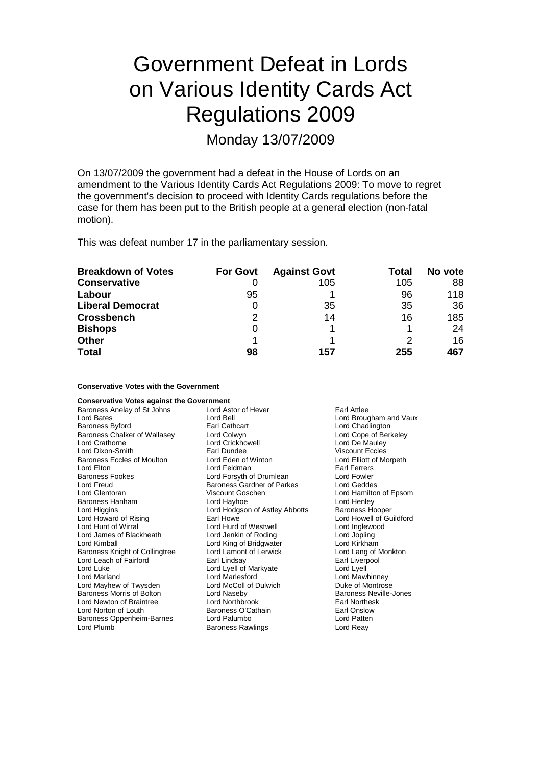# Government Defeat in Lords on Various Identity Cards Act Regulations 2009

Monday 13/07/2009

On 13/07/2009 the government had a defeat in the House of Lords on an amendment to the Various Identity Cards Act Regulations 2009: To move to regret the government's decision to proceed with Identity Cards regulations before the case for them has been put to the British people at a general election (non-fatal motion).

This was defeat number 17 in the parliamentary session.

| <b>Breakdown of Votes</b> | <b>For Govt</b> | <b>Against Govt</b> | Total | No vote |
|---------------------------|-----------------|---------------------|-------|---------|
| <b>Conservative</b>       |                 | 105                 | 105   | 88      |
| Labour                    | 95              |                     | 96    | 118     |
| <b>Liberal Democrat</b>   | O               | 35                  | 35    | -36     |
| <b>Crossbench</b>         | 2               | 14                  | 16    | 185     |
| <b>Bishops</b>            | 0               |                     |       | 24      |
| <b>Other</b>              |                 |                     |       | 16      |
| <b>Total</b>              | 98              | 157                 | 255   | 467     |

**Conservative Votes with the Government**

| <b>Conservative Votes against the Government</b> |                                       |                          |
|--------------------------------------------------|---------------------------------------|--------------------------|
| Baroness Anelay of St Johns                      | Lord Astor of Hever                   | Earl Attlee              |
| Lord Bates                                       | Lord Bell                             | Lord Brougham and Vaux   |
| <b>Baroness Byford</b>                           | Earl Cathcart                         | Lord Chadlington         |
| Baroness Chalker of Wallasey                     | Lord Colwyn                           | Lord Cope of Berkeley    |
| Lord Crathorne                                   | Lord Crickhowell<br>Lord De Mauley    |                          |
| Lord Dixon-Smith                                 | <b>Viscount Eccles</b><br>Earl Dundee |                          |
| <b>Baroness Eccles of Moulton</b>                | Lord Eden of Winton                   | Lord Elliott of Morpeth  |
| Lord Elton                                       | Lord Feldman                          | Earl Ferrers             |
| <b>Baroness Fookes</b>                           | Lord Forsyth of Drumlean              | Lord Fowler              |
| Lord Freud                                       | Baroness Gardner of Parkes            | Lord Geddes              |
| Lord Glentoran                                   | Viscount Goschen                      | Lord Hamilton of Epsom   |
| Baroness Hanham                                  | Lord Hayhoe                           | Lord Henley              |
| Lord Higgins                                     | Lord Hodgson of Astley Abbotts        | <b>Baroness Hooper</b>   |
| Lord Howard of Rising                            | Farl Howe                             | Lord Howell of Guildford |
| Lord Hunt of Wirral                              | Lord Hurd of Westwell                 | Lord Inglewood           |
| Lord James of Blackheath                         | Lord Jenkin of Roding                 | Lord Jopling             |
| Lord Kimball                                     | Lord King of Bridgwater               | Lord Kirkham             |
| Baroness Knight of Collingtree                   | Lord Lamont of Lerwick                | Lord Lang of Monkton     |
| Lord Leach of Fairford                           | Earl Lindsay                          | Earl Liverpool           |
| Lord Luke                                        | Lord Lyell of Markyate                | Lord Lyell               |
| Lord Marland                                     | Lord Marlesford                       | Lord Mawhinney           |
| Lord Mayhew of Twysden                           | Lord McColl of Dulwich                | Duke of Montrose         |
| Baroness Morris of Bolton                        | Lord Naseby                           | Baroness Neville-Jones   |
| Lord Newton of Braintree                         | Lord Northbrook                       | Earl Northesk            |
| Lord Norton of Louth                             | Baroness O'Cathain                    | Earl Onslow              |
| Baroness Oppenheim-Barnes                        | Lord Palumbo                          | <b>Lord Patten</b>       |
| Lord Plumb                                       | <b>Baroness Rawlings</b>              | Lord Reay                |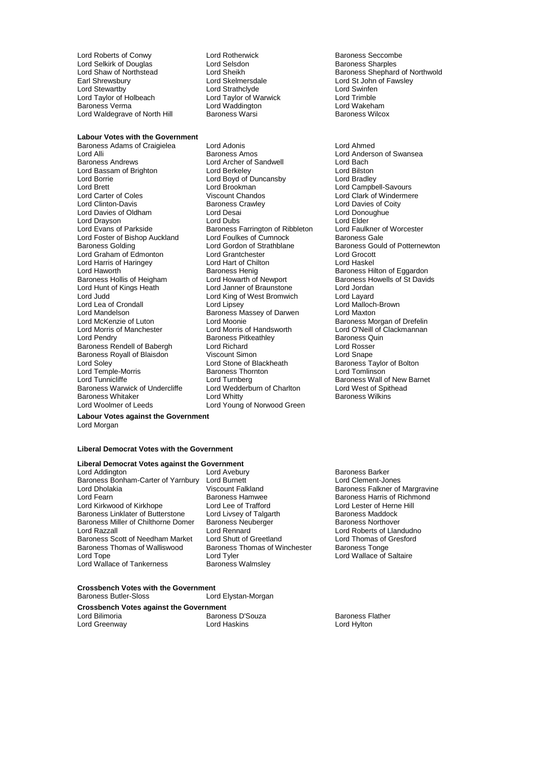Lord Roberts of Conwy **Lord Rotherwick** Baroness Seccombe<br>
Lord Selkirk of Douglas **Baroness Sharples**<br>
Lord Selsdon **Baroness Sharples** Lord Selkirk of Douglas<br>
Lord Shaw of Northstead

Lord Sheikh Earl Shrewsbury **Earl Shrewsbury** Lord Skelmersdale **Lord Structure Lord St John of Fawsley**<br>
Lord Strathclyde Lord Strathclyde Lord Strathclouse Lord Swinfen Lord Taylor of Holbeach Lord Taylor of Warwick Lord Trimble Lord Waldegrave of North Hill

#### **Labour Votes with the Government**

Baroness Andrews **Lord Archer of Sandwell** Lord Bassam of Brighton Lord Berkeley Lord Bilston Lord Borrie Lord Boyd of Duncansby Lord Bradley Lord Brett **Lord Brookman** Lord Brookman Lord Campbell-Savours<br>
Lord Carter of Coles **Column Lord Clark of Winderme** Lord Carter of Coles **Viscount Chandos** Cord Clark of Windermere<br>
Lord Clinton-Davis **Cord Clark of Cole Cord Clark** Cord Davies of Coity Lord Davies of Oldham Lord Desai Cord Desai Lord Desai Lord Donoughues Cord Donoughues Lord Donoughues Lord Elder<br>
Lord Dravson Lord Dubs Lord Drayson **Lord Elder**<br>
Lord Evans of Parkside **Lord Elder** Baroness Farrington of Ribbleton Lord Faulkner of Worcester Lord Foster of Bishop Auckland Lord Foulkes of Cumnock<br>Baroness Golding Lord Gordon of Strathblane Lord Graham of Edmonton Lord Grantchester Lord Grocott Lord Harris of Haringey **Lord Hart of Chilton Lord Hart of Chilt**<br>Lord Haworth **Lord Haskell** Baroness Henig Lord Haworth Baroness Henig Baroness Hilton of Eggardon Baroness Hollis of Heigham<br>Lord Hunt of Kings Heath Lord Hunt of Kings Heath Lord Janner of Braunstone Lord Jordan Lord Lea of Crondall **Lord Lord Lipsey** Lord Malloch<br>
Lord Mandelson **Lord Malloch-Brown** Baroness Massey of Darwen Lord Maxton Lord McKenzie of Luton Lord Moonie<br>
Lord Morris of Manchester Lord Morris of Handsworth Lord O'Neill of Clackmannan Lord Morris of Manchester Lord Morris of Handsworth Lord O'Neill of Clackmannan Baroness Rendell of Babergh Lord Richard Corporation Lord Rosser<br>
Baroness Royall of Blaisdon Viscount Simon Lord Snape Baroness Royall of Blaisdon Viscount Simon<br>
Lord Soley<br>
Lord Stone of Blackheath Lord Temple-Morris<br>Lord Tunnicliffe Lord Turnicliffe and Turnberg Lord Turnberg baroness Wall of New Barnet<br>
Baroness Warwick of Undercliffe Lord Wedderburn of Charlton Lord West of Spithead Baroness Whitaker<br>Lord Woolmer of Leeds

Lord Strathclyde **Lord Strathclyde** Lord Swinfen<br>
Lord Taylor of Warwick **Lord Trimble Example 20 Lord Waddington Lord Wakeham<br>Baroness Warsi Communist Control Baroness Wilcox** 

Baroness Adams of Craigielea Lord Adonis Lord Ahmed **Baroness Farrington of Ribbleton Lord Faulkner c**<br>
Lord Foulkes of Cumnock Baroness Gale Lord Gordon of Strathblane<br>
Lord Gordon of Strathblane Baroness Gould of Potternewton<br>
Lord Grocott Lord King of West Bromwich Lord Layard<br>
Lord Lipsey Lord Malloch-Brown Baroness Massey of Darwen **Baroness Pitkeathley Maroness Quince Baroness Quince**<br>
Lord Richard **Baroness Cuince Accept** Lord Rosser Lord Stone of Blackheath Baroness Taylor of Bolton<br>
Baroness Thornton I ord Tomlinson **Baroness Lord Wedderburn of Charlton Lord West of Spithead Universed Lord West of Spithead Lord West of Spith**<br>Lord Whitty Lord Young of Norwood Green

Lord Sheikh **Cham of Northwold**<br>
Lord Skelmersdale **Cham Baroness Shephard of Northwold**<br>
Lord St John of Fawsley

Lord Anderson of Swansea<br>Lord Bach Lord Davies of Coity<br>Lord Donoughue

**Labour Votes against the Government** Lord Morgan

#### **Liberal Democrat Votes with the Government**

**Liberal Democrat Votes against the Government**

Baroness Bonham-Carter of Yarnbury Lord Burnett<br>Lord Dholakia Viscount Falkland Lord Dholakia **Margravine Margravine School Communist Constructs**<br>
Baroness Hammed Baroness Hammed Baroness Harris of Richmond Baroness Harris of Richmond Lord Kirkwood of Kirkhope Lord Lee of Trafford Cord Lester of Herne Lord Lester of Herne Lord Lester of Herne H<br>Baroness Linklater of Butterstone Lord Livsev of Talgarth Christ Baroness Maddock Baroness Linklater of Butterstone Lord Livsey of Talgarth Baroness Maddock<br>Baroness Miller of Chilthorne Domer Baroness Neuberger Baroness Northover Baroness Miller of Chilthorne Domer Baroness Neu<br>Lord Razzall Lord Rennard Baroness Scott of Needham Market Lord Shutt of Greetland Lord Thomas of Greetland Lord Thomas of Minismood Baroness Thomas of Greet Corpus Corpus Baroness Tonge Lord Tope Lord Tyler Lord Wallace of Saltaire Lord Wallace of Tankerness

Baroness Hamwee Baroness Harris of Richmond<br>
Lord Lee of Trafford **Baroness Harris of Herne Hill** Lord Rennard<br>
Lord Shutt of Greetland<br>
Lord Thomas of Gresford Baroness Thomas of Winchester

Baroness Barker<br>Lord Clement-Jones

### **Crossbench Votes with the Government**

Baroness Butler-Sloss **Lord Elystan-Morgan** 

**Crossbench Votes against the Government**

Lord Greenway

Baroness D'Souza Baroness Flather<br>
Baroness D'Souza Baroness Flather<br>
Lord Hylton